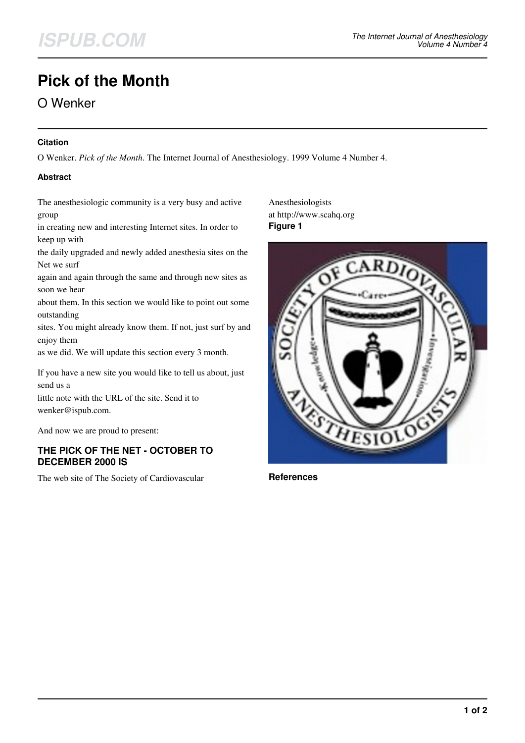# **Pick of the Month**

## O Wenker

#### **Citation**

O Wenker. *Pick of the Month*. The Internet Journal of Anesthesiology. 1999 Volume 4 Number 4.

#### **Abstract**

The anesthesiologic community is a very busy and active group

in creating new and interesting Internet sites. In order to keep up with

the daily upgraded and newly added anesthesia sites on the Net we surf

again and again through the same and through new sites as soon we hear

about them. In this section we would like to point out some outstanding

sites. You might already know them. If not, just surf by and enjoy them

as we did. We will update this section every 3 month.

If you have a new site you would like to tell us about, just send us a

little note with the URL of the site. Send it to wenker@ispub.com.

And now we are proud to present:

#### **THE PICK OF THE NET - OCTOBER TO DECEMBER 2000 IS**

The web site of The Society of Cardiovascular

Anesthesiologists at http://www.scahq.org **Figure 1**



**References**